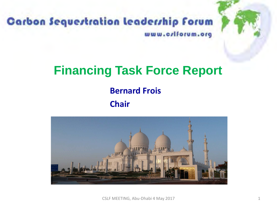

### Carbon Sequestration Leadership Forum www.criforum.org

### **Financing Task Force Report**

#### **Bernard Frois**

#### **Chair**

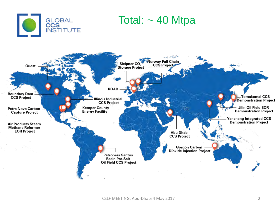

### Total:  $\sim$  40 Mtpa

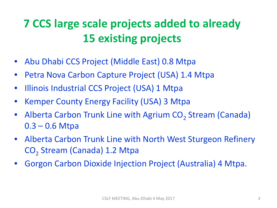## **7 CCS large scale projects added to already 15 existing projects**

- Abu Dhabi CCS Project (Middle East) 0.8 Mtpa
- Petra Nova Carbon Capture Project (USA) 1.4 Mtpa
- Illinois Industrial CCS Project (USA) 1 Mtpa
- Kemper County Energy Facility (USA) 3 Mtpa
- Alberta Carbon Trunk Line with Agrium  $CO<sub>2</sub>$  Stream (Canada)  $0.3 - 0.6$  Mtpa
- Alberta Carbon Trunk Line with North West Sturgeon Refinery CO<sub>2</sub> Stream (Canada) 1.2 Mtpa
- Gorgon Carbon Dioxide Injection Project (Australia) 4 Mtpa.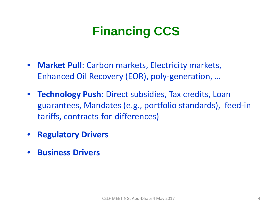## **Financing CCS**

- **Market Pull**: Carbon markets, Electricity markets, Enhanced Oil Recovery (EOR), poly-generation, …
- **Technology Push**: Direct subsidies, Tax credits, Loan guarantees, Mandates (e.g., portfolio standards), feed-in tariffs, contracts-for-differences)
- **Regulatory Drivers**
- **Business Drivers**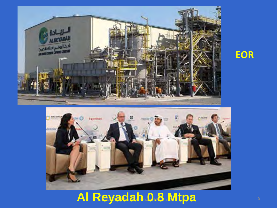



# **Al Reyadah 0.8 Mtpa**

### **EOR**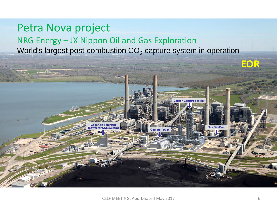### Petra Nova project NRG Energy – JX Nippon Oil and Gas Exploration World's largest post-combustion  $CO<sub>2</sub>$  capture system in operation

**neration Plant** 

power for CCS system)



**Cooling Tower** 

**EOR**

**Carbon Capture Facility** 

**Flue Gas Duc**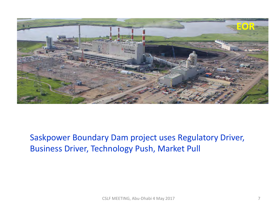

#### Saskpower Boundary Dam project uses Regulatory Driver, Business Driver, Technology Push, Market Pull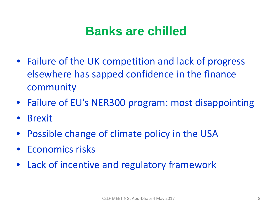### **Banks are chilled**

- Failure of the UK competition and lack of progress elsewhere has sapped confidence in the finance community
- Failure of EU's NER300 program: most disappointing
- Brexit
- Possible change of climate policy in the USA
- Economics risks
- Lack of incentive and regulatory framework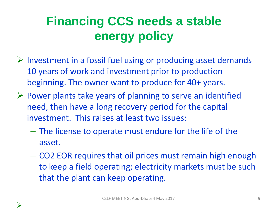## **Financing CCS needs a stable energy policy**

- $\triangleright$  Investment in a fossil fuel using or producing asset demands 10 years of work and investment prior to production beginning. The owner want to produce for 40+ years.
- $\triangleright$  Power plants take years of planning to serve an identified need, then have a long recovery period for the capital investment. This raises at least two issues:
	- The license to operate must endure for the life of the asset.
	- CO2 EOR requires that oil prices must remain high enough to keep a field operating; electricity markets must be such that the plant can keep operating.



 $\blacktriangleright$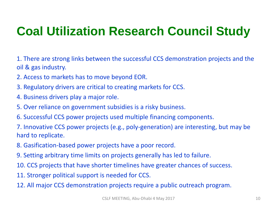## **Coal Utilization Research Council Study**

1. There are strong links between the successful CCS demonstration projects and the oil & gas industry.

- 2. Access to markets has to move beyond EOR.
- 3. Regulatory drivers are critical to creating markets for CCS.
- 4. Business drivers play a major role.
- 5. Over reliance on government subsidies is a risky business.
- 6. Successful CCS power projects used multiple financing components.

7. Innovative CCS power projects (e.g., poly-generation) are interesting, but may be hard to replicate.

- 8. Gasification-based power projects have a poor record.
- 9. Setting arbitrary time limits on projects generally has led to failure.
- 10. CCS projects that have shorter timelines have greater chances of success.
- 11. Stronger political support is needed for CCS.
- 12. All major CCS demonstration projects require a public outreach program.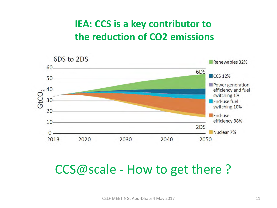### **IEA: CCS is a key contributor to the reduction of CO2 emissions**



### CCS@scale - How to get there ?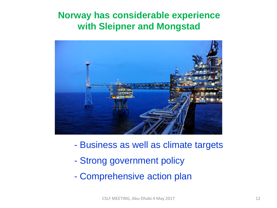#### **Norway has considerable experience with Sleipner and Mongstad**



- Business as well as climate targets
- Strong government policy
- Comprehensive action plan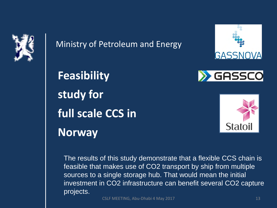

Ministry of Petroleum and Energy





**Feasibility study for full scale CCS in Norway** 



The results of this study demonstrate that a flexible CCS chain is feasible that makes use of CO2 transport by ship from multiple sources to a single storage hub. That would mean the initial investment in CO2 infrastructure can benefit several CO2 capture projects.

CSLF MEETING, Abu-Dhabi 4 May 2017 13 13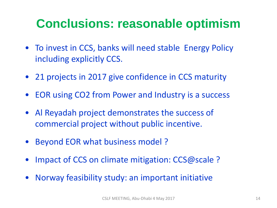## **Conclusions: reasonable optimism**

- To invest in CCS, banks will need stable Energy Policy including explicitly CCS.
- 21 projects in 2017 give confidence in CCS maturity
- EOR using CO2 from Power and Industry is a success
- Al Reyadah project demonstrates the success of commercial project without public incentive.
- Beyond EOR what business model ?
- Impact of CCS on climate mitigation: CCS@scale ?
- Norway feasibility study: an important initiative